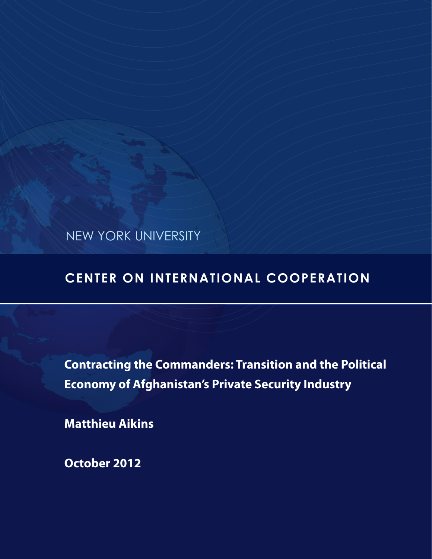NEW YORK UNIVERSITY

# **CENTER ON INTERNATIONAL COOPERATION**

**Contracting the Commanders: Transition and the Political Economy of Afghanistan's Private Security Industry**

**Matthieu Aikins**

**October 2012**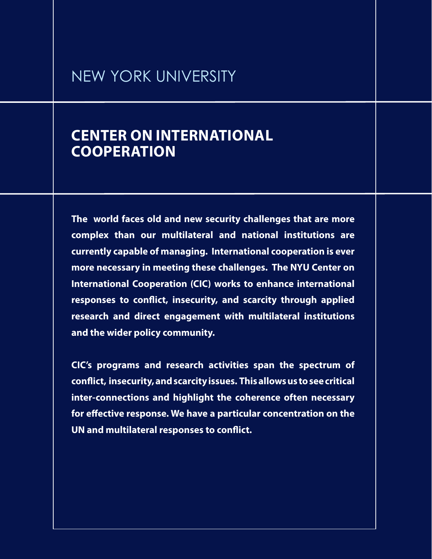# NEW YORK UNIVERSITY

# **CENTER ON INTERNATIONAL COOPERATION**

**The world faces old and new security challenges that are more complex than our multilateral and national institutions are currently capable of managing. International cooperation is ever more necessary in meeting these challenges. The NYU Center on International Cooperation (CIC) works to enhance international responses to conflict, insecurity, and scarcity through applied research and direct engagement with multilateral institutions and the wider policy community.**

**CIC's programs and research activities span the spectrum of conflict, insecurity, and scarcity issues. This allows us to see critical inter-connections and highlight the coherence often necessary for effective response. We have a particular concentration on the UN and multilateral responses to conflict.**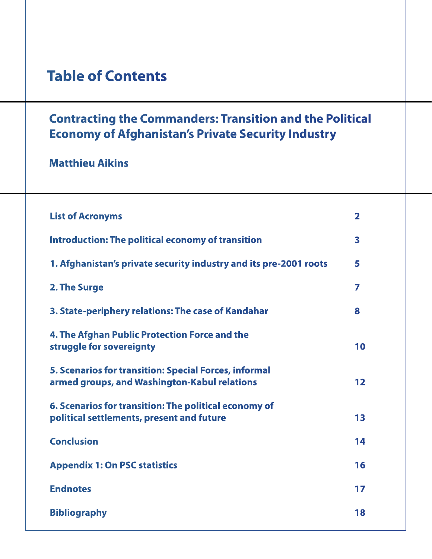# **Table of Contents**

# **Contracting the Commanders: Transition and the Political Economy of Afghanistan's Private Security Industry**

**Matthieu Aikins**

| <b>List of Acronyms</b>                                                                               | $\overline{2}$          |
|-------------------------------------------------------------------------------------------------------|-------------------------|
| <b>Introduction: The political economy of transition</b>                                              | $\overline{\mathbf{3}}$ |
| 1. Afghanistan's private security industry and its pre-2001 roots                                     | 5                       |
| 2. The Surge                                                                                          | 7                       |
| 3. State-periphery relations: The case of Kandahar                                                    | 8                       |
| <b>4. The Afghan Public Protection Force and the</b><br>struggle for sovereignty                      | 10                      |
| 5. Scenarios for transition: Special Forces, informal<br>armed groups, and Washington-Kabul relations | 12                      |
| 6. Scenarios for transition: The political economy of<br>political settlements, present and future    | 13                      |
| <b>Conclusion</b>                                                                                     | 14                      |
| <b>Appendix 1: On PSC statistics</b>                                                                  | 16                      |
| <b>Endnotes</b>                                                                                       | 17                      |
| <b>Bibliography</b>                                                                                   | 18                      |
|                                                                                                       |                         |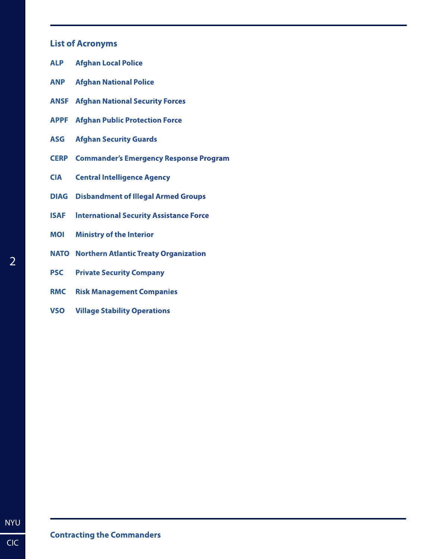# <span id="page-3-0"></span>**List of Acronyms**

|             | <b>ALP</b> Afghan Local Police                    |
|-------------|---------------------------------------------------|
|             | <b>ANP</b> Afghan National Police                 |
|             | <b>ANSF</b> Afghan National Security Forces       |
|             | <b>APPF</b> Afghan Public Protection Force        |
|             | <b>ASG</b> Afghan Security Guards                 |
| <b>CERP</b> | <b>Commander's Emergency Response Program</b>     |
| <b>CIA</b>  | <b>Central Intelligence Agency</b>                |
|             | <b>DIAG</b> Disbandment of Illegal Armed Groups   |
| <b>ISAF</b> | <b>International Security Assistance Force</b>    |
| <b>MOI</b>  | <b>Ministry of the Interior</b>                   |
|             | <b>NATO</b> Northern Atlantic Treaty Organization |
| <b>PSC</b>  | <b>Private Security Company</b>                   |
|             |                                                   |

- **RMC Risk Management Companies**
- **VSO Village Stability Operations**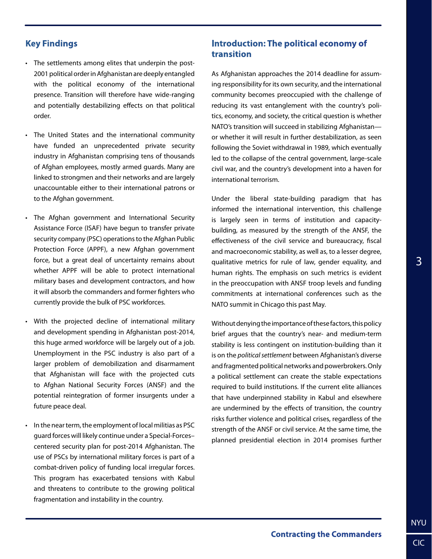- <span id="page-4-0"></span>• The settlements among elites that underpin the post-2001 political order in Afghanistan are deeply entangled with the political economy of the international presence. Transition will therefore have wide-ranging and potentially destabilizing effects on that political order.
- The United States and the international community have funded an unprecedented private security industry in Afghanistan comprising tens of thousands of Afghan employees, mostly armed guards. Many are linked to strongmen and their networks and are largely unaccountable either to their international patrons or to the Afghan government.
- The Afghan government and International Security Assistance Force (ISAF) have begun to transfer private security company (PSC) operations to the Afghan Public Protection Force (APPF), a new Afghan government force, but a great deal of uncertainty remains about whether APPF will be able to protect international military bases and development contractors, and how it will absorb the commanders and former fighters who currently provide the bulk of PSC workforces.
- With the projected decline of international military and development spending in Afghanistan post-2014, this huge armed workforce will be largely out of a job. Unemployment in the PSC industry is also part of a larger problem of demobilization and disarmament that Afghanistan will face with the projected cuts to Afghan National Security Forces (ANSF) and the potential reintegration of former insurgents under a future peace deal.
- In the near term, the employment of local militias as PSC guard forces will likely continue under a Special-Forces– centered security plan for post-2014 Afghanistan. The use of PSCs by international military forces is part of a combat-driven policy of funding local irregular forces. This program has exacerbated tensions with Kabul and threatens to contribute to the growing political fragmentation and instability in the country.

# **Introduction: The political economy of transition**

As Afghanistan approaches the 2014 deadline for assuming responsibility for its own security, and the international community becomes preoccupied with the challenge of reducing its vast entanglement with the country's politics, economy, and society, the critical question is whether NATO's transition will succeed in stabilizing Afghanistan or whether it will result in further destabilization, as seen following the Soviet withdrawal in 1989, which eventually led to the collapse of the central government, large-scale civil war, and the country's development into a haven for international terrorism.

Under the liberal state-building paradigm that has informed the international intervention, this challenge is largely seen in terms of institution and capacitybuilding, as measured by the strength of the ANSF, the effectiveness of the civil service and bureaucracy, fiscal and macroeconomic stability, as well as, to a lesser degree, qualitative metrics for rule of law, gender equality, and human rights. The emphasis on such metrics is evident in the preoccupation with ANSF troop levels and funding commitments at international conferences such as the NATO summit in Chicago this past May.

Without denying the importance of these factors, this policy brief argues that the country's near- and medium-term stability is less contingent on institution-building than it is on the *political settlement* between Afghanistan's diverse and fragmented political networks and powerbrokers. Only a political settlement can create the stable expectations required to build institutions. If the current elite alliances that have underpinned stability in Kabul and elsewhere are undermined by the effects of transition, the country risks further violence and political crises, regardless of the strength of the ANSF or civil service. At the same time, the planned presidential election in 2014 promises further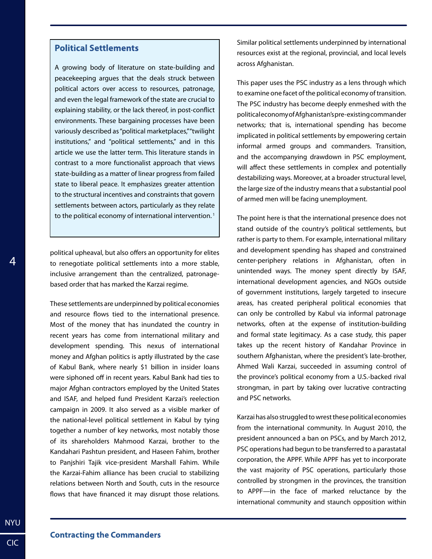### **Political Settlements**

A growing body of literature on state-building and peacekeeping argues that the deals struck between political actors over access to resources, patronage, and even the legal framework of the state are crucial to explaining stability, or the lack thereof, in post-conflict environments. These bargaining processes have been variously described as"political marketplaces,""twilight institutions," and "political settlements," and in this article we use the latter term. This literature stands in contrast to a more functionalist approach that views state-building as a matter of linear progress from failed state to liberal peace. It emphasizes greater attention to the structural incentives and constraints that govern settlements between actors, particularly as they relate to the political economy of international intervention.<sup>1</sup>

political upheaval, but also offers an opportunity for elites to renegotiate political settlements into a more stable, inclusive arrangement than the centralized, patronagebased order that has marked the Karzai regime.

These settlements are underpinned by political economies and resource flows tied to the international presence. Most of the money that has inundated the country in recent years has come from international military and development spending. This nexus of international money and Afghan politics is aptly illustrated by the case of Kabul Bank, where nearly \$1 billion in insider loans were siphoned off in recent years. Kabul Bank had ties to major Afghan contractors employed by the United States and ISAF, and helped fund President Karzai's reelection campaign in 2009. It also served as a visible marker of the national-level political settlement in Kabul by tying together a number of key networks, most notably those of its shareholders Mahmood Karzai, brother to the Kandahari Pashtun president, and Haseen Fahim, brother to Panjshiri Tajik vice-president Marshall Fahim. While the Karzai-Fahim alliance has been crucial to stabilizing relations between North and South, cuts in the resource flows that have financed it may disrupt those relations. Similar political settlements underpinned by international resources exist at the regional, provincial, and local levels across Afghanistan.

This paper uses the PSC industry as a lens through which to examine one facet of the political economy of transition. The PSC industry has become deeply enmeshed with the politicaleconomyofAfghanistan'spre-existingcommander networks; that is, international spending has become implicated in political settlements by empowering certain informal armed groups and commanders. Transition, and the accompanying drawdown in PSC employment, will affect these settlements in complex and potentially destabilizing ways. Moreover, at a broader structural level, the large size of the industry means that a substantial pool of armed men will be facing unemployment.

The point here is that the international presence does not stand outside of the country's political settlements, but rather is party to them. For example, international military and development spending has shaped and constrained center-periphery relations in Afghanistan, often in unintended ways. The money spent directly by ISAF, international development agencies, and NGOs outside of government institutions, largely targeted to insecure areas, has created peripheral political economies that can only be controlled by Kabul via informal patronage networks, often at the expense of institution-building and formal state legitimacy. As a case study, this paper takes up the recent history of Kandahar Province in southern Afghanistan, where the president's late-brother, Ahmed Wali Karzai, succeeded in assuming control of the province's political economy from a U.S.-backed rival strongman, in part by taking over lucrative contracting and PSC networks.

Karzai has also struggled to wrest these political economies from the international community. In August 2010, the president announced a ban on PSCs, and by March 2012, PSC operations had begun to be transferred to a parastatal corporation, the APPF. While APPF has yet to incorporate the vast majority of PSC operations, particularly those controlled by strongmen in the provinces, the transition to APPF—in the face of marked reluctance by the international community and staunch opposition within

4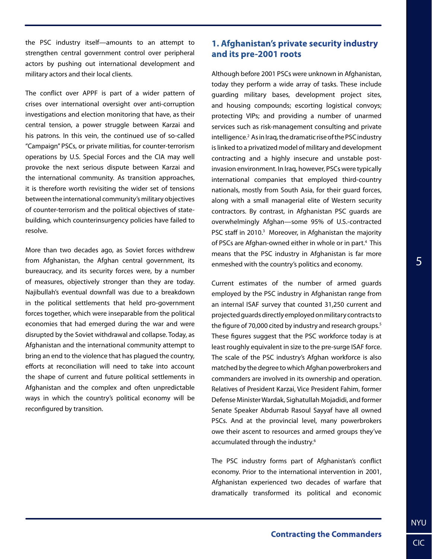<span id="page-6-0"></span>the PSC industry itself—amounts to an attempt to strengthen central government control over peripheral actors by pushing out international development and military actors and their local clients.

The conflict over APPF is part of a wider pattern of crises over international oversight over anti-corruption investigations and election monitoring that have, as their central tension, a power struggle between Karzai and his patrons. In this vein, the continued use of so-called "Campaign" PSCs, or private militias, for counter-terrorism operations by U.S. Special Forces and the CIA may well provoke the next serious dispute between Karzai and the international community. As transition approaches, it is therefore worth revisiting the wider set of tensions between the international community's military objectives of counter-terrorism and the political objectives of statebuilding, which counterinsurgency policies have failed to resolve.

More than two decades ago, as Soviet forces withdrew from Afghanistan, the Afghan central government, its bureaucracy, and its security forces were, by a number of measures, objectively stronger than they are today. Najibullah's eventual downfall was due to a breakdown in the political settlements that held pro-government forces together, which were inseparable from the political economies that had emerged during the war and were disrupted by the Soviet withdrawal and collapse. Today, as Afghanistan and the international community attempt to bring an end to the violence that has plagued the country, efforts at reconciliation will need to take into account the shape of current and future political settlements in Afghanistan and the complex and often unpredictable ways in which the country's political economy will be reconfigured by transition.

### **1. Afghanistan's private security industry and its pre-2001 roots**

Although before 2001 PSCs were unknown in Afghanistan, today they perform a wide array of tasks. These include guarding military bases, development project sites, and housing compounds; escorting logistical convoys; protecting VIPs; and providing a number of unarmed services such as risk-management consulting and private intelligence.<sup>2</sup> As in Iraq, the dramatic rise of the PSC industry is linked to a privatized model of military and development contracting and a highly insecure and unstable postinvasion environment. In Iraq, however, PSCs were typically international companies that employed third-country nationals, mostly from South Asia, for their guard forces, along with a small managerial elite of Western security contractors. By contrast, in Afghanistan PSC guards are overwhelmingly Afghan—some 95% of U.S.-contracted PSC staff in 2010.<sup>3</sup> Moreover, in Afghanistan the majority of PSCs are Afghan-owned either in whole or in part.<sup>4</sup> This means that the PSC industry in Afghanistan is far more enmeshed with the country's politics and economy.

Current estimates of the number of armed guards employed by the PSC industry in Afghanistan range from an internal ISAF survey that counted 31,250 current and projected guards directly employed on military contracts to the figure of 70,000 cited by industry and research groups.<sup>5</sup> These figures suggest that the PSC workforce today is at least roughly equivalent in size to the pre-surge ISAF force. The scale of the PSC industry's Afghan workforce is also matched by the degree to which Afghan powerbrokers and commanders are involved in its ownership and operation. Relatives of President Karzai, Vice President Fahim, former Defense MinisterWardak, Sighatullah Mojadidi, and former Senate Speaker Abdurrab Rasoul Sayyaf have all owned PSCs. And at the provincial level, many powerbrokers owe their ascent to resources and armed groups they've accumulated through the industry.<sup>6</sup>

The PSC industry forms part of Afghanistan's conflict economy. Prior to the international intervention in 2001, Afghanistan experienced two decades of warfare that dramatically transformed its political and economic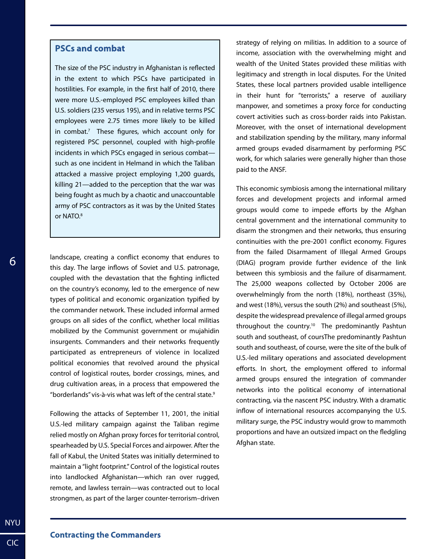### **PSCs and combat**

The size of the PSC industry in Afghanistan is reflected in the extent to which PSCs have participated in hostilities. For example, in the first half of 2010, there were more U.S.-employed PSC employees killed than U.S. soldiers (235 versus 195), and in relative terms PSC employees were 2.75 times more likely to be killed in combat.<sup>7</sup> These figures, which account only for registered PSC personnel, coupled with high-profile incidents in which PSCs engaged in serious combat such as one incident in Helmand in which the Taliban attacked a massive project employing 1,200 guards, killing 21—added to the perception that the war was being fought as much by a chaotic and unaccountable army of PSC contractors as it was by the United States or NATO.<sup>8</sup>

landscape, creating a conflict economy that endures to this day. The large inflows of Soviet and U.S. patronage, coupled with the devastation that the fighting inflicted on the country's economy, led to the emergence of new types of political and economic organization typified by the commander network. These included informal armed groups on all sides of the conflict, whether local militias mobilized by the Communist government or mujahidin insurgents. Commanders and their networks frequently participated as entrepreneurs of violence in localized political economies that revolved around the physical control of logistical routes, border crossings, mines, and drug cultivation areas, in a process that empowered the "borderlands" vis-à-vis what was left of the central state.<sup>9</sup>

Following the attacks of September 11, 2001, the initial U.S.-led military campaign against the Taliban regime relied mostly on Afghan proxy forces for territorial control, spearheaded by U.S. Special Forces and airpower. After the fall of Kabul, the United States was initially determined to maintain a "light footprint." Control of the logistical routes into landlocked Afghanistan—which ran over rugged, remote, and lawless terrain—was contracted out to local strongmen, as part of the larger counter-terrorism–driven strategy of relying on militias. In addition to a source of income, association with the overwhelming might and wealth of the United States provided these militias with legitimacy and strength in local disputes. For the United States, these local partners provided usable intelligence in their hunt for "terrorists," a reserve of auxiliary manpower, and sometimes a proxy force for conducting covert activities such as cross-border raids into Pakistan. Moreover, with the onset of international development and stabilization spending by the military, many informal armed groups evaded disarmament by performing PSC work, for which salaries were generally higher than those paid to the ANSF.

This economic symbiosis among the international military forces and development projects and informal armed groups would come to impede efforts by the Afghan central government and the international community to disarm the strongmen and their networks, thus ensuring continuities with the pre-2001 conflict economy. Figures from the failed Disarmament of Illegal Armed Groups (DIAG) program provide further evidence of the link between this symbiosis and the failure of disarmament. The 25,000 weapons collected by October 2006 are overwhelmingly from the north (18%), northeast (35%), and west (18%), versus the south (2%) and southeast (5%), despite the widespread prevalence of illegal armed groups throughout the country.<sup>10</sup> The predominantly Pashtun south and southeast, of coursThe predominantly Pashtun south and southeast, of course, were the site of the bulk of U.S.-led military operations and associated development efforts. In short, the employment offered to informal armed groups ensured the integration of commander networks into the political economy of international contracting, via the nascent PSC industry. With a dramatic inflow of international resources accompanying the U.S. military surge, the PSC industry would grow to mammoth proportions and have an outsized impact on the fledgling Afghan state.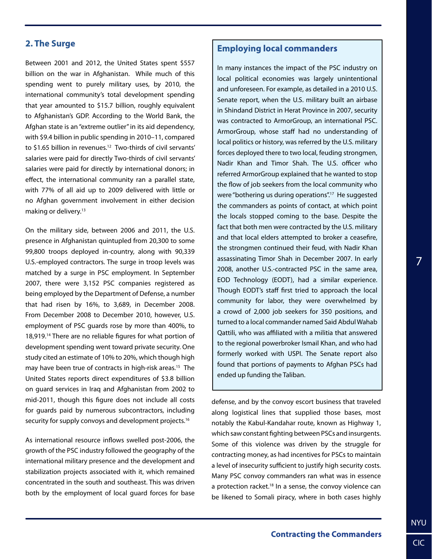#### <span id="page-8-0"></span>**2. The Surge**

Between 2001 and 2012, the United States spent \$557 billion on the war in Afghanistan. While much of this spending went to purely military uses, by 2010, the international community's total development spending that year amounted to \$15.7 billion, roughly equivalent to Afghanistan's GDP. According to the World Bank, the Afghan state is an "extreme outlier"in its aid dependency, with \$9.4 billion in public spending in 2010–11, compared to \$1.65 billion in revenues.<sup>12</sup> Two-thirds of civil servants' salaries were paid for directly Two-thirds of civil servants' salaries were paid for directly by international donors; in effect, the international community ran a parallel state, with 77% of all aid up to 2009 delivered with little or no Afghan government involvement in either decision making or delivery.<sup>13</sup>

On the military side, between 2006 and 2011, the U.S. presence in Afghanistan quintupled from 20,300 to some 99,800 troops deployed in-country, along with 90,339 U.S.-employed contractors. The surge in troop levels was matched by a surge in PSC employment. In September 2007, there were 3,152 PSC companies registered as being employed by the Department of Defense, a number that had risen by 16%, to 3,689, in December 2008. From December 2008 to December 2010, however, U.S. employment of PSC guards rose by more than 400%, to 18,919.14 There are no reliable figures for what portion of development spending went toward private security. One study cited an estimate of 10% to 20%, which though high may have been true of contracts in high-risk areas.<sup>15</sup> The United States reports direct expenditures of \$3.8 billion on guard services in Iraq and Afghanistan from 2002 to mid-2011, though this figure does not include all costs for guards paid by numerous subcontractors, including security for supply convoys and development projects.<sup>16</sup>

As international resource inflows swelled post-2006, the growth of the PSC industry followed the geography of the international military presence and the development and stabilization projects associated with it, which remained concentrated in the south and southeast. This was driven both by the employment of local guard forces for base

#### **Employing local commanders**

In many instances the impact of the PSC industry on local political economies was largely unintentional and unforeseen. For example, as detailed in a 2010 U.S. Senate report, when the U.S. military built an airbase in Shindand District in Herat Province in 2007, security was contracted to ArmorGroup, an international PSC. ArmorGroup, whose staff had no understanding of local politics or history, was referred by the U.S. military forces deployed there to two local, feuding strongmen, Nadir Khan and Timor Shah. The U.S. officer who referred ArmorGroup explained that he wanted to stop the flow of job seekers from the local community who were "bothering us during operations".<sup>17</sup> He suggested the commanders as points of contact, at which point the locals stopped coming to the base. Despite the fact that both men were contracted by the U.S. military and that local elders attempted to broker a ceasefire, the strongmen continued their feud, with Nadir Khan assassinating Timor Shah in December 2007. In early 2008, another U.S.-contracted PSC in the same area, EOD Technology (EODT), had a similar experience. Though EODT's staff first tried to approach the local community for labor, they were overwhelmed by a crowd of 2,000 job seekers for 350 positions, and turned to a local commander named Said Abdul Wahab Qattili, who was affiliated with a militia that answered to the regional powerbroker Ismail Khan, and who had formerly worked with USPI. The Senate report also found that portions of payments to Afghan PSCs had ended up funding the Taliban.

defense, and by the convoy escort business that traveled along logistical lines that supplied those bases, most notably the Kabul-Kandahar route, known as Highway 1, which saw constant fighting between PSCs and insurgents. Some of this violence was driven by the struggle for contracting money, as had incentives for PSCs to maintain a level of insecurity sufficient to justify high security costs. Many PSC convoy commanders ran what was in essence a protection racket.<sup>18</sup> In a sense, the convoy violence can be likened to Somali piracy, where in both cases highly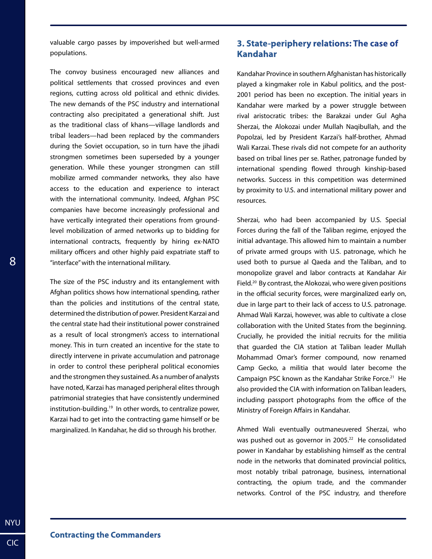<span id="page-9-0"></span>valuable cargo passes by impoverished but well-armed populations.

The convoy business encouraged new alliances and political settlements that crossed provinces and even regions, cutting across old political and ethnic divides. The new demands of the PSC industry and international contracting also precipitated a generational shift. Just as the traditional class of khans—village landlords and tribal leaders—had been replaced by the commanders during the Soviet occupation, so in turn have the jihadi strongmen sometimes been superseded by a younger generation. While these younger strongmen can still mobilize armed commander networks, they also have access to the education and experience to interact with the international community. Indeed, Afghan PSC companies have become increasingly professional and have vertically integrated their operations from groundlevel mobilization of armed networks up to bidding for international contracts, frequently by hiring ex-NATO military officers and other highly paid expatriate staff to "interface"with the international military.

The size of the PSC industry and its entanglement with Afghan politics shows how international spending, rather than the policies and institutions of the central state, determined the distribution of power. President Karzai and the central state had their institutional power constrained as a result of local strongmen's access to international money. This in turn created an incentive for the state to directly intervene in private accumulation and patronage in order to control these peripheral political economies and the strongmen they sustained.As a number of analysts have noted, Karzai has managed peripheral elites through patrimonial strategies that have consistently undermined institution-building.19 In other words, to centralize power, Karzai had to get into the contracting game himself or be marginalized. In Kandahar, he did so through his brother.

### **3. State-periphery relations: The case of Kandahar**

Kandahar Province in southern Afghanistan has historically played a kingmaker role in Kabul politics, and the post-2001 period has been no exception. The initial years in Kandahar were marked by a power struggle between rival aristocratic tribes: the Barakzai under Gul Agha Sherzai, the Alokozai under Mullah Naqibullah, and the Popolzai, led by President Karzai's half-brother, Ahmad Wali Karzai. These rivals did not compete for an authority based on tribal lines per se. Rather, patronage funded by international spending flowed through kinship-based networks. Success in this competition was determined by proximity to U.S. and international military power and resources.

Sherzai, who had been accompanied by U.S. Special Forces during the fall of the Taliban regime, enjoyed the initial advantage. This allowed him to maintain a number of private armed groups with U.S. patronage, which he used both to pursue al Qaeda and the Taliban, and to monopolize gravel and labor contracts at Kandahar Air Field.<sup>20</sup> By contrast, the Alokozai, who were given positions in the official security forces, were marginalized early on, due in large part to their lack of access to U.S. patronage. Ahmad Wali Karzai, however, was able to cultivate a close collaboration with the United States from the beginning. Crucially, he provided the initial recruits for the militia that guarded the CIA station at Taliban leader Mullah Mohammad Omar's former compound, now renamed Camp Gecko, a militia that would later become the Campaign PSC known as the Kandahar Strike Force.<sup>21</sup> He also provided the CIA with information on Taliban leaders, including passport photographs from the office of the Ministry of Foreign Affairs in Kandahar.

Ahmed Wali eventually outmaneuvered Sherzai, who was pushed out as governor in 2005.<sup>22</sup> He consolidated power in Kandahar by establishing himself as the central node in the networks that dominated provincial politics, most notably tribal patronage, business, international contracting, the opium trade, and the commander networks. Control of the PSC industry, and therefore

8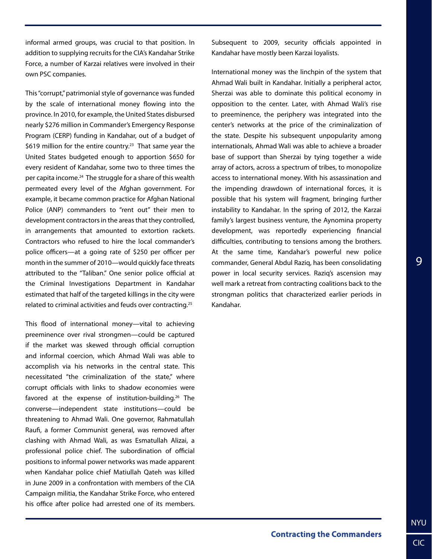informal armed groups, was crucial to that position. In addition to supplying recruits for the CIA's Kandahar Strike Force, a number of Karzai relatives were involved in their own PSC companies.

This "corrupt," patrimonial style of governance was funded by the scale of international money flowing into the province. In 2010, for example, the United States disbursed nearly \$276 million in Commander's Emergency Response Program (CERP) funding in Kandahar, out of a budget of \$619 million for the entire country.<sup>23</sup> That same year the United States budgeted enough to apportion \$650 for every resident of Kandahar, some two to three times the per capita income.<sup>24</sup> The struggle for a share of this wealth permeated every level of the Afghan government. For example, it became common practice for Afghan National Police (ANP) commanders to "rent out" their men to development contractors in the areas that they controlled, in arrangements that amounted to extortion rackets. Contractors who refused to hire the local commander's police officers—at a going rate of \$250 per officer per month in the summer of 2010—would quickly face threats attributed to the "Taliban." One senior police official at the Criminal Investigations Department in Kandahar estimated that half of the targeted killings in the city were related to criminal activities and feuds over contracting.<sup>25</sup>

This flood of international money—vital to achieving preeminence over rival strongmen—could be captured if the market was skewed through official corruption and informal coercion, which Ahmad Wali was able to accomplish via his networks in the central state. This necessitated "the criminalization of the state," where corrupt officials with links to shadow economies were favored at the expense of institution-building.<sup>26</sup> The converse—independent state institutions—could be threatening to Ahmad Wali. One governor, Rahmatullah Raufi, a former Communist general, was removed after clashing with Ahmad Wali, as was Esmatullah Alizai, a professional police chief. The subordination of official positions to informal power networks was made apparent when Kandahar police chief Matiullah Qateh was killed in June 2009 in a confrontation with members of the CIA Campaign militia, the Kandahar Strike Force, who entered his office after police had arrested one of its members.

Subsequent to 2009, security officials appointed in Kandahar have mostly been Karzai loyalists.

International money was the linchpin of the system that Ahmad Wali built in Kandahar. Initially a peripheral actor, Sherzai was able to dominate this political economy in opposition to the center. Later, with Ahmad Wali's rise to preeminence, the periphery was integrated into the center's networks at the price of the criminalization of the state. Despite his subsequent unpopularity among internationals, Ahmad Wali was able to achieve a broader base of support than Sherzai by tying together a wide array of actors, across a spectrum of tribes, to monopolize access to international money. With his assassination and the impending drawdown of international forces, it is possible that his system will fragment, bringing further instability to Kandahar. In the spring of 2012, the Karzai family's largest business venture, the Aynomina property development, was reportedly experiencing financial difficulties, contributing to tensions among the brothers. At the same time, Kandahar's powerful new police commander, General Abdul Raziq, has been consolidating power in local security services. Raziq's ascension may well mark a retreat from contracting coalitions back to the strongman politics that characterized earlier periods in Kandahar.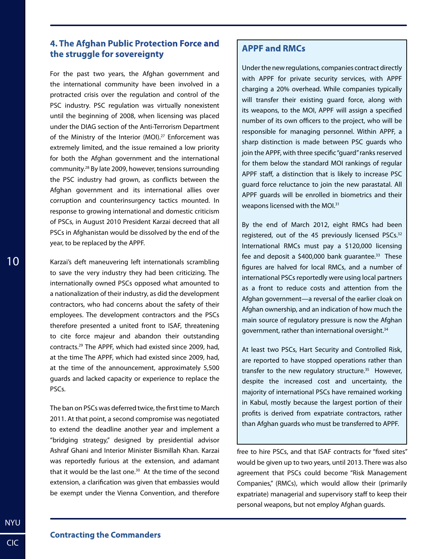# <span id="page-11-0"></span>**4. The Afghan Public Protection Force and the struggle for sovereignty**

For the past two years, the Afghan government and the international community have been involved in a protracted crisis over the regulation and control of the PSC industry. PSC regulation was virtually nonexistent until the beginning of 2008, when licensing was placed under the DIAG section of the Anti-Terrorism Department of the Ministry of the Interior (MOI).<sup>27</sup> Enforcement was extremely limited, and the issue remained a low priority for both the Afghan government and the international community.<sup>28</sup> By late 2009, however, tensions surrounding the PSC industry had grown, as conflicts between the Afghan government and its international allies over corruption and counterinsurgency tactics mounted. In response to growing international and domestic criticism of PSCs, in August 2010 President Karzai decreed that all PSCs in Afghanistan would be dissolved by the end of the year, to be replaced by the APPF.

Karzai's deft maneuvering left internationals scrambling to save the very industry they had been criticizing. The internationally owned PSCs opposed what amounted to a nationalization of their industry, as did the development contractors, who had concerns about the safety of their employees. The development contractors and the PSCs therefore presented a united front to ISAF, threatening to cite force majeur and abandon their outstanding contracts.29 The APPF, which had existed since 2009, had, at the time The APPF, which had existed since 2009, had, at the time of the announcement, approximately 5,500 guards and lacked capacity or experience to replace the PSCs.

The ban on PSCs was deferred twice, the first time to March 2011. At that point, a second compromise was negotiated to extend the deadline another year and implement a "bridging strategy," designed by presidential advisor Ashraf Ghani and Interior Minister Bismillah Khan. Karzai was reportedly furious at the extension, and adamant that it would be the last one. $30$  At the time of the second extension, a clarification was given that embassies would be exempt under the Vienna Convention, and therefore

# **APPF and RMCs**

Under the new regulations, companies contract directly with APPF for private security services, with APPF charging a 20% overhead. While companies typically will transfer their existing guard force, along with its weapons, to the MOI, APPF will assign a specified number of its own officers to the project, who will be responsible for managing personnel. Within APPF, a sharp distinction is made between PSC guards who join the APPF, with three specific "guard" ranks reserved for them below the standard MOI rankings of regular APPF staff, a distinction that is likely to increase PSC guard force reluctance to join the new parastatal. All APPF guards will be enrolled in biometrics and their weapons licensed with the MOI.<sup>31</sup>

By the end of March 2012, eight RMCs had been registered, out of the 45 previously licensed PSCs.<sup>32</sup> International RMCs must pay a \$120,000 licensing fee and deposit a \$400,000 bank guarantee. $33$  These figures are halved for local RMCs, and a number of international PSCs reportedly were using local partners as a front to reduce costs and attention from the Afghan government—a reversal of the earlier cloak on Afghan ownership, and an indication of how much the main source of regulatory pressure is now the Afghan government, rather than international oversight.34

At least two PSCs, Hart Security and Controlled Risk, are reported to have stopped operations rather than transfer to the new regulatory structure.<sup>35</sup> However, despite the increased cost and uncertainty, the majority of international PSCs have remained working in Kabul, mostly because the largest portion of their profits is derived from expatriate contractors, rather than Afghan guards who must be transferred to APPF.

free to hire PSCs, and that ISAF contracts for "fixed sites" would be given up to two years, until 2013. There was also agreement that PSCs could become "Risk Management Companies," (RMCs), which would allow their (primarily expatriate) managerial and supervisory staff to keep their personal weapons, but not employ Afghan guards.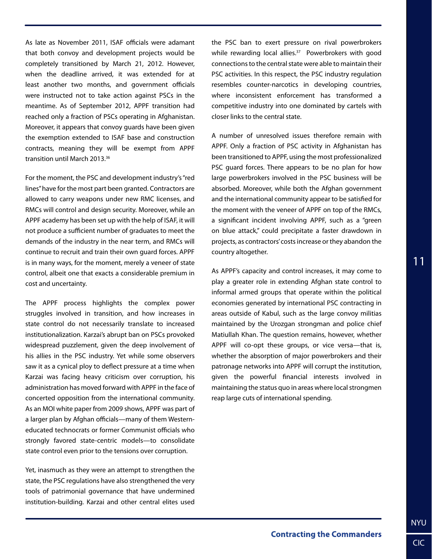As late as November 2011, ISAF officials were adamant that both convoy and development projects would be completely transitioned by March 21, 2012. However, when the deadline arrived, it was extended for at least another two months, and government officials were instructed not to take action against PSCs in the meantime. As of September 2012, APPF transition had reached only a fraction of PSCs operating in Afghanistan. Moreover, it appears that convoy guards have been given the exemption extended to ISAF base and construction contracts, meaning they will be exempt from APPF transition until March 2013.<sup>36</sup>

For the moment, the PSC and development industry's "red lines"have for the most part been granted. Contractors are allowed to carry weapons under new RMC licenses, and RMCs will control and design security. Moreover, while an APPF academy has been set up with the help of ISAF, it will not produce a sufficient number of graduates to meet the demands of the industry in the near term, and RMCs will continue to recruit and train their own guard forces. APPF is in many ways, for the moment, merely a veneer of state control, albeit one that exacts a considerable premium in cost and uncertainty.

The APPF process highlights the complex power struggles involved in transition, and how increases in state control do not necessarily translate to increased institutionalization. Karzai's abrupt ban on PSCs provoked widespread puzzlement, given the deep involvement of his allies in the PSC industry. Yet while some observers saw it as a cynical ploy to deflect pressure at a time when Karzai was facing heavy criticism over corruption, his administration has moved forward with APPF in the face of concerted opposition from the international community. As an MOI white paper from 2009 shows, APPF was part of a larger plan by Afghan officials—many of them Westerneducated technocrats or former Communist officials who strongly favored state-centric models—to consolidate state control even prior to the tensions over corruption.

Yet, inasmuch as they were an attempt to strengthen the state, the PSC regulations have also strengthened the very tools of patrimonial governance that have undermined institution-building. Karzai and other central elites used

the PSC ban to exert pressure on rival powerbrokers while rewarding local allies.<sup>37</sup> Powerbrokers with good connections to the central state were able to maintain their PSC activities. In this respect, the PSC industry regulation resembles counter-narcotics in developing countries, where inconsistent enforcement has transformed a competitive industry into one dominated by cartels with closer links to the central state.

A number of unresolved issues therefore remain with APPF. Only a fraction of PSC activity in Afghanistan has been transitioned to APPF, using the most professionalized PSC guard forces. There appears to be no plan for how large powerbrokers involved in the PSC business will be absorbed. Moreover, while both the Afghan government and the international community appear to be satisfied for the moment with the veneer of APPF on top of the RMCs, a significant incident involving APPF, such as a "green on blue attack," could precipitate a faster drawdown in projects, as contractors'costsincrease or they abandon the country altogether.

As APPF's capacity and control increases, it may come to play a greater role in extending Afghan state control to informal armed groups that operate within the political economies generated by international PSC contracting in areas outside of Kabul, such as the large convoy militias maintained by the Urozgan strongman and police chief Matiullah Khan. The question remains, however, whether APPF will co-opt these groups, or vice versa—that is, whether the absorption of major powerbrokers and their patronage networks into APPF will corrupt the institution, given the powerful financial interests involved in maintaining the status quo in areas where local strongmen reap large cuts of international spending.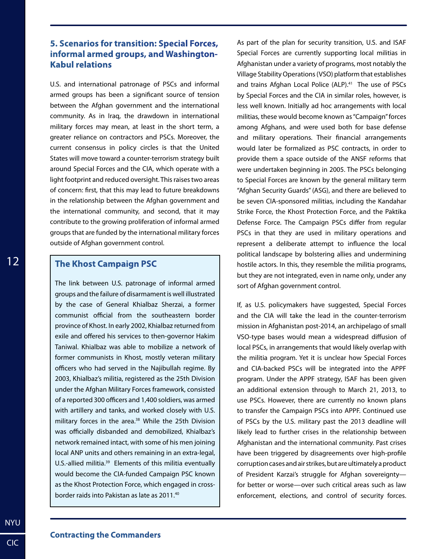# <span id="page-13-0"></span>**5. Scenarios for transition: Special Forces, informal armed groups, and Washington-Kabul relations**

U.S. and international patronage of PSCs and informal armed groups has been a significant source of tension between the Afghan government and the international community. As in Iraq, the drawdown in international military forces may mean, at least in the short term, a greater reliance on contractors and PSCs. Moreover, the current consensus in policy circles is that the United States will move toward a counter-terrorism strategy built around Special Forces and the CIA, which operate with a light footprint and reduced oversight. This raises two areas of concern: first, that this may lead to future breakdowns in the relationship between the Afghan government and the international community, and second, that it may contribute to the growing proliferation of informal armed groups that are funded by the international military forces outside of Afghan government control.

#### **The Khost Campaign PSC**

The link between U.S. patronage of informal armed groups and the failure of disarmament is well illustrated by the case of General Khialbaz Sherzai, a former communist official from the southeastern border province of Khost. In early 2002, Khialbaz returned from exile and offered his services to then-governor Hakim Taniwal. Khialbaz was able to mobilize a network of former communists in Khost, mostly veteran military officers who had served in the Najibullah regime. By 2003, Khialbaz's militia, registered as the 25th Division under the Afghan Military Forces framework, consisted of a reported 300 officers and 1,400 soldiers, was armed with artillery and tanks, and worked closely with U.S. military forces in the area.<sup>38</sup> While the 25th Division was officially disbanded and demobilized, Khialbaz's network remained intact, with some of his men joining local ANP units and others remaining in an extra-legal, U.S.-allied militia.39 Elements of this militia eventually would become the CIA-funded Campaign PSC known as the Khost Protection Force, which engaged in crossborder raids into Pakistan as late as 2011.40

As part of the plan for security transition, U.S. and ISAF Special Forces are currently supporting local militias in Afghanistan under a variety of programs, most notably the Village StabilityOperations(VSO) platform that establishes and trains Afghan Local Police (ALP).<sup>41</sup> The use of PSCs by Special Forces and the CIA in similar roles, however, is less well known. Initially ad hoc arrangements with local militias, these would become known as"Campaign"forces among Afghans, and were used both for base defense and military operations. Their financial arrangements would later be formalized as PSC contracts, in order to provide them a space outside of the ANSF reforms that were undertaken beginning in 2005. The PSCs belonging to Special Forces are known by the general military term "Afghan Security Guards"(ASG), and there are believed to be seven CIA-sponsored militias, including the Kandahar Strike Force, the Khost Protection Force, and the Paktika Defense Force. The Campaign PSCs differ from regular PSCs in that they are used in military operations and represent a deliberate attempt to influence the local political landscape by bolstering allies and undermining hostile actors. In this, they resemble the militia programs, but they are not integrated, even in name only, under any sort of Afghan government control.

If, as U.S. policymakers have suggested, Special Forces and the CIA will take the lead in the counter-terrorism mission in Afghanistan post-2014, an archipelago of small VSO-type bases would mean a widespread diffusion of local PSCs, in arrangements that would likely overlap with the militia program. Yet it is unclear how Special Forces and CIA-backed PSCs will be integrated into the APPF program. Under the APPF strategy, ISAF has been given an additional extension through to March 21, 2013, to use PSCs. However, there are currently no known plans to transfer the Campaign PSCs into APPF. Continued use of PSCs by the U.S. military past the 2013 deadline will likely lead to further crises in the relationship between Afghanistan and the international community. Past crises have been triggered by disagreements over high-profile corruption cases and air strikes, but are ultimately a product of President Karzai's struggle for Afghan sovereignty for better or worse—over such critical areas such as law enforcement, elections, and control of security forces.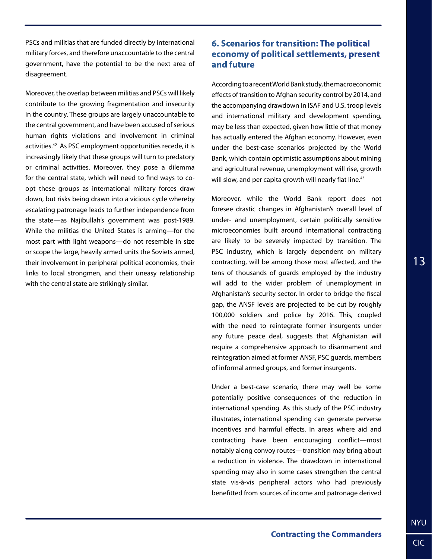<span id="page-14-0"></span>PSCs and militias that are funded directly by international military forces, and therefore unaccountable to the central government, have the potential to be the next area of disagreement.

Moreover, the overlap between militias and PSCs will likely contribute to the growing fragmentation and insecurity in the country. These groups are largely unaccountable to the central government, and have been accused of serious human rights violations and involvement in criminal activities.42 As PSC employment opportunities recede, it is increasingly likely that these groups will turn to predatory or criminal activities. Moreover, they pose a dilemma for the central state, which will need to find ways to coopt these groups as international military forces draw down, but risks being drawn into a vicious cycle whereby escalating patronage leads to further independence from the state—as Najibullah's government was post-1989. While the militias the United States is arming—for the most part with light weapons—do not resemble in size or scope the large, heavily armed units the Soviets armed, their involvement in peripheral political economies, their links to local strongmen, and their uneasy relationship with the central state are strikingly similar.

### **6. Scenarios for transition: The political economy of political settlements, present and future**

AccordingtoarecentWorldBankstudy,themacroeconomic effects of transition to Afghan security control by 2014, and the accompanying drawdown in ISAF and U.S. troop levels and international military and development spending, may be less than expected, given how little of that money has actually entered the Afghan economy. However, even under the best-case scenarios projected by the World Bank, which contain optimistic assumptions about mining and agricultural revenue, unemployment will rise, growth will slow, and per capita growth will nearly flat line.<sup>43</sup>

Moreover, while the World Bank report does not foresee drastic changes in Afghanistan's overall level of under- and unemployment, certain politically sensitive microeconomies built around international contracting are likely to be severely impacted by transition. The PSC industry, which is largely dependent on military contracting, will be among those most affected, and the tens of thousands of guards employed by the industry will add to the wider problem of unemployment in Afghanistan's security sector. In order to bridge the fiscal gap, the ANSF levels are projected to be cut by roughly 100,000 soldiers and police by 2016. This, coupled with the need to reintegrate former insurgents under any future peace deal, suggests that Afghanistan will require a comprehensive approach to disarmament and reintegration aimed at former ANSF, PSC guards, members of informal armed groups, and former insurgents.

Under a best-case scenario, there may well be some potentially positive consequences of the reduction in international spending. As this study of the PSC industry illustrates, international spending can generate perverse incentives and harmful effects. In areas where aid and contracting have been encouraging conflict—most notably along convoy routes—transition may bring about a reduction in violence. The drawdown in international spending may also in some cases strengthen the central state vis-à-vis peripheral actors who had previously benefitted from sources of income and patronage derived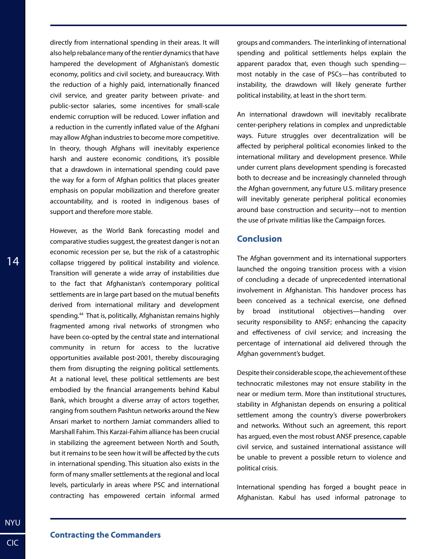<span id="page-15-0"></span>directly from international spending in their areas. It will also help rebalance many of the rentier dynamics that have hampered the development of Afghanistan's domestic economy, politics and civil society, and bureaucracy. With the reduction of a highly paid, internationally financed civil service, and greater parity between private- and public-sector salaries, some incentives for small-scale endemic corruption will be reduced. Lower inflation and a reduction in the currently inflated value of the Afghani may allow Afghan industriesto become more competitive. In theory, though Afghans will inevitably experience harsh and austere economic conditions, it's possible that a drawdown in international spending could pave the way for a form of Afghan politics that places greater emphasis on popular mobilization and therefore greater accountability, and is rooted in indigenous bases of support and therefore more stable.

However, as the World Bank forecasting model and comparative studies suggest, the greatest danger is not an economic recession per se, but the risk of a catastrophic collapse triggered by political instability and violence. Transition will generate a wide array of instabilities due to the fact that Afghanistan's contemporary political settlements are in large part based on the mutual benefits derived from international military and development spending.<sup>44</sup> That is, politically, Afghanistan remains highly fragmented among rival networks of strongmen who have been co-opted by the central state and international community in return for access to the lucrative opportunities available post-2001, thereby discouraging them from disrupting the reigning political settlements. At a national level, these political settlements are best embodied by the financial arrangements behind Kabul Bank, which brought a diverse array of actors together, ranging from southern Pashtun networks around the New Ansari market to northern Jamiat commanders allied to Marshall Fahim. This Karzai-Fahim alliance has been crucial in stabilizing the agreement between North and South, but it remains to be seen how it will be affected by the cuts in international spending. This situation also exists in the form of many smaller settlements at the regional and local levels, particularly in areas where PSC and international contracting has empowered certain informal armed

groups and commanders. The interlinking of international spending and political settlements helps explain the apparent paradox that, even though such spending most notably in the case of PSCs—has contributed to instability, the drawdown will likely generate further political instability, at least in the short term.

An international drawdown will inevitably recalibrate center-periphery relations in complex and unpredictable ways. Future struggles over decentralization will be affected by peripheral political economies linked to the international military and development presence. While under current plans development spending is forecasted both to decrease and be increasingly channeled through the Afghan government, any future U.S. military presence will inevitably generate peripheral political economies around base construction and security—not to mention the use of private militias like the Campaign forces.

#### **Conclusion**

The Afghan government and its international supporters launched the ongoing transition process with a vision of concluding a decade of unprecedented international involvement in Afghanistan. This handover process has been conceived as a technical exercise, one defined by broad institutional objectives—handing over security responsibility to ANSF; enhancing the capacity and effectiveness of civil service; and increasing the percentage of international aid delivered through the Afghan government's budget.

Despite their considerable scope, the achievement of these technocratic milestones may not ensure stability in the near or medium term. More than institutional structures, stability in Afghanistan depends on ensuring a political settlement among the country's diverse powerbrokers and networks. Without such an agreement, this report has argued, even the most robust ANSF presence, capable civil service, and sustained international assistance will be unable to prevent a possible return to violence and political crisis.

International spending has forged a bought peace in Afghanistan. Kabul has used informal patronage to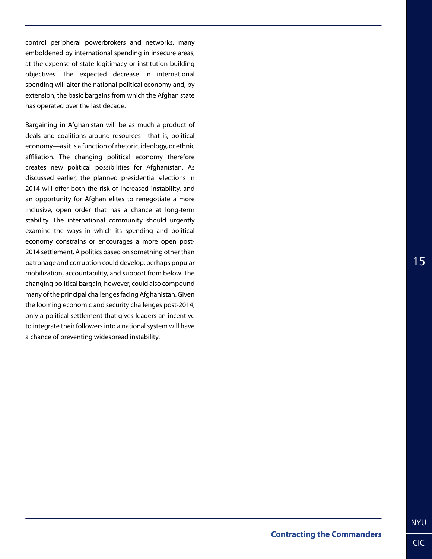control peripheral powerbrokers and networks, many emboldened by international spending in insecure areas, at the expense of state legitimacy or institution-building objectives. The expected decrease in international spending will alter the national political economy and, by extension, the basic bargains from which the Afghan state has operated over the last decade.

Bargaining in Afghanistan will be as much a product of deals and coalitions around resources—that is, political economy-as it is a function of rhetoric, ideology, or ethnic affiliation. The changing political economy therefore creates new political possibilities for Afghanistan. As discussed earlier, the planned presidential elections in 2014 will offer both the risk of increased instability, and an opportunity for Afghan elites to renegotiate a more inclusive, open order that has a chance at long-term stability. The international community should urgently examine the ways in which its spending and political economy constrains or encourages a more open post-2014 settlement. A politics based on something other than patronage and corruption could develop, perhaps popular mobilization, accountability, and support from below. The changing political bargain, however, could also compound many of the principal challenges facing Afghanistan. Given the looming economic and security challenges post-2014, only a political settlement that gives leaders an incentive to integrate their followers into a national system will have a chance of preventing widespread instability.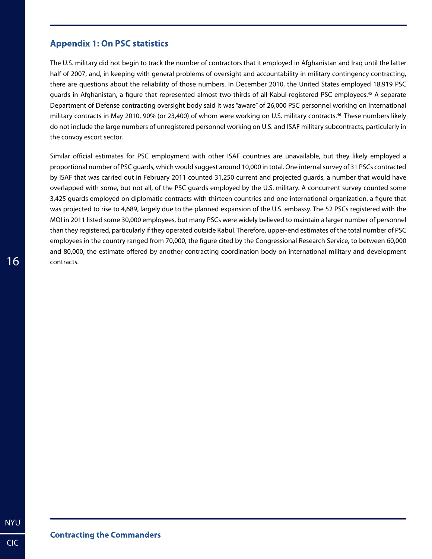#### <span id="page-17-0"></span>**Appendix 1: On PSC statistics**

The U.S. military did not begin to track the number of contractors that it employed in Afghanistan and Iraq until the latter half of 2007, and, in keeping with general problems of oversight and accountability in military contingency contracting, there are questions about the reliability of those numbers. In December 2010, the United States employed 18,919 PSC guards in Afghanistan, a figure that represented almost two-thirds of all Kabul-registered PSC employees.45 A separate Department of Defense contracting oversight body said it was"aware" of 26,000 PSC personnel working on international military contracts in May 2010, 90% (or 23,400) of whom were working on U.S. military contracts.<sup>46</sup> These numbers likely do not include the large numbers of unregistered personnel working on U.S. and ISAF military subcontracts, particularly in the convoy escort sector.

Similar official estimates for PSC employment with other ISAF countries are unavailable, but they likely employed a proportional number of PSC guards, which would suggest around 10,000 in total. One internalsurvey of 31 PSCs contracted by ISAF that was carried out in February 2011 counted 31,250 current and projected guards, a number that would have overlapped with some, but not all, of the PSC guards employed by the U.S. military. A concurrent survey counted some 3,425 guards employed on diplomatic contracts with thirteen countries and one international organization, a figure that was projected to rise to 4,689, largely due to the planned expansion of the U.S. embassy. The 52 PSCs registered with the MOI in 2011 listed some 30,000 employees, but many PSCs were widely believed to maintain a larger number of personnel than they registered, particularly if they operated outside Kabul. Therefore, upper-end estimates of the total number of PSC employees in the country ranged from 70,000, the figure cited by the Congressional Research Service, to between 60,000 and 80,000, the estimate offered by another contracting coordination body on international military and development contracts.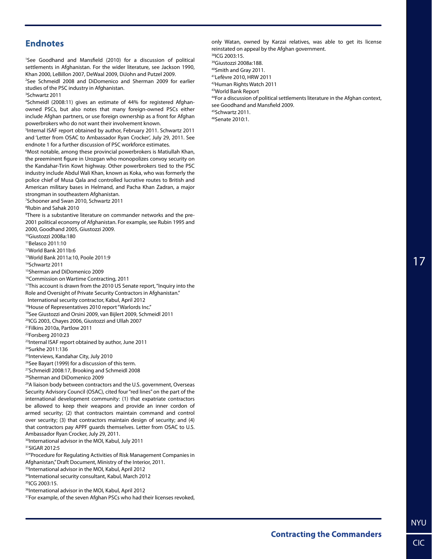#### <span id="page-18-0"></span>**Endnotes**

1 See Goodhand and Mansfield (2010) for a discussion of political settlements in Afghanistan. For the wider literature, see Jackson 1990, Khan 2000, LeBillon 2007, DeWaal 2009, DiJohn and Putzel 2009.

2 See Schmeidl 2008 and DiDomenico and Sherman 2009 for earlier studies of the PSC industry in Afghanistan.

3 Schwartz 2011

4 Schmeidl (2008:11) gives an estimate of 44% for registered Afghanowned PSCs, but also notes that many foreign-owned PSCs either include Afghan partners, or use foreign ownership as a front for Afghan powerbrokers who do not want their involvement known.

5 Internal ISAF report obtained by author, February 2011. Schwartz 2011 and 'Letter from OSAC to Ambassador Ryan Crocker', July 29, 2011. See endnote 1 for a further discussion of PSC workforce estimates.

<sup>6</sup>Most notable, among these provincial powerbrokers is Matiullah Khan, the preeminent figure in Urozgan who monopolizes convoy security on the Kandahar-Tirin Kowt highway. Other powerbrokers tied to the PSC industry include Abdul Wali Khan, known as Koka, who was formerly the police chief of Musa Qala and controlled lucrative routes to British and American military bases in Helmand, and Pacha Khan Zadran, a major strongman in southeastern Afghanistan.

7 Schooner and Swan 2010, Schwartz 2011

8 Rubin and Sahak 2010

9 There is a substantive literature on commander networks and the pre-2001 political economy of Afghanistan. For example, see Rubin 1995 and 2000, Goodhand 2005, Giustozzi 2009.

<sup>10</sup>Giustozzi 2008a:180

<sup>11</sup>Belasco 2011:10

<sup>12</sup>World Bank 2011b:6

<sup>13</sup>World Bank 2011a:10, Poole 2011:9

14Schwartz 2011

<sup>15</sup>Sherman and DiDomenico 2009

<sup>16</sup>Commission on Wartime Contracting, 2011

<sup>17</sup>This account is drawn from the 2010 US Senate report, "Inquiry into the Role and Oversight of Private Security Contractors in Afghanistan."

 International security contractor, Kabul, April 2012 <sup>18</sup> House of Representatives 2010 report "Warlords Inc."

<sup>19</sup>See Giustozzi and Orsini 2009, van Bijlert 2009, Schmeidl 2011

<sup>20</sup>ICG 2003, Chayes 2006, Giustozzi and Ullah 2007

<sup>21</sup>Filkins 2010a, Partlow 2011

<sup>22</sup>Forsberg 2010:23

<sup>23</sup>Internal ISAF report obtained by author, June 2011 24Surkhe 2011:136

<sup>25</sup>Interviews, Kandahar City, July 2010

<sup>26</sup>See Bayart (1999) for a discussion of this term.

27Schmeidl 2008:17, Brooking and Schmeidl 2008

28Sherman and DiDomenico 2009

<sup>29</sup>A liaison body between contractors and the U.S. government, Overseas Security Advisory Council (OSAC), cited four "red lines" on the part of the international development community: (1) that expatriate contractors be allowed to keep their weapons and provide an inner cordon of armed security; (2) that contractors maintain command and control over security; (3) that contractors maintain design of security; and (4) that contractors pay APPF guards themselves. Letter from OSAC to U.S. Ambassador Ryan Crocker, July 29, 2011.

30International advisor in the MOI, Kabul, July 2011

<sup>31</sup>SIGAR 2012:5

32"Procedure for Regulating Activities of Risk Management Companies in Afghanistan,"Draft Document, Ministry of the Interior, 2011.

33International advisor in the MOI, Kabul, April 2012

34International security consultant, Kabul, March 2012 35ICG 2003:15.

<sup>36</sup>International advisor in the MOI, Kabul, April 2012

<sup>37</sup>For example, of the seven Afghan PSCs who had their licenses revoked,

only Watan, owned by Karzai relatives, was able to get its license reinstated on appeal by the Afghan government. 38ICG 2003:15.

39Giustozzi 2008a:188.

40Smith and Gray 2011.

41Lefèvre 2010, HRW 2011

42Human Rights Watch 2011

43World Bank Report

<sup>44</sup>For a discussion of political settlements literature in the Afghan context, see Goodhand and Mansfield 2009.

45Schwartz 2011.

46Senate 2010:1.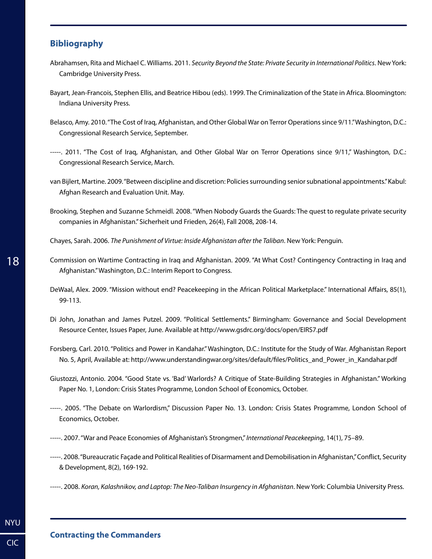#### <span id="page-19-0"></span>**Bibliography**

- Abrahamsen, Rita and Michael C. Williams. 2011. *Security Beyond the State: Private Security in International Politics*. New York: Cambridge University Press.
- Bayart, Jean-Francois, Stephen Ellis, and Beatrice Hibou (eds). 1999. The Criminalization of the State in Africa. Bloomington: Indiana University Press.
- Belasco, Amy. 2010. "The Cost of Iraq, Afghanistan, and Other Global War on Terror Operations since 9/11."Washington, D.C.: Congressional Research Service, September.
- -----. 2011. "The Cost of Iraq, Afghanistan, and Other Global War on Terror Operations since 9/11," Washington, D.C.: Congressional Research Service, March.
- van Bijlert, Martine. 2009. "Between discipline and discretion: Policies surrounding senior subnational appointments." Kabul: Afghan Research and Evaluation Unit. May.
- Brooking, Stephen and Suzanne Schmeidl. 2008."When Nobody Guards the Guards: The quest to regulate private security companies in Afghanistan." Sicherheit und Frieden, 26(4), Fall 2008, 208-14.
- Chayes, Sarah. 2006. *The Punishment of Virtue: Inside Afghanistan after the Taliban*. New York: Penguin.
- Commission on Wartime Contracting in Iraq and Afghanistan. 2009. "At What Cost? Contingency Contracting in Iraq and Afghanistan."Washington, D.C.: Interim Report to Congress.
- DeWaal, Alex. 2009. "Mission without end? Peacekeeping in the African Political Marketplace." International Affairs, 85(1), 99-113.
- Di John, Jonathan and James Putzel. 2009. "Political Settlements." Birmingham: Governance and Social Development Resource Center, Issues Paper, June. Available at http://[www.gsdrc.org/docs/open/EIRS7.pdf](http://www.gsdrc.org/docs/open/EIRS7.pdf)
- Forsberg, Carl. 2010."Politics and Power in Kandahar."Washington, D.C.: Institute for the Study of War. Afghanistan Report No. 5, April, Available at: <http://www.understandingwar.org/sites/default/files/>[Politics\\_and\\_Power\\_in\\_Kandahar.pdf](http://www.understandingwar.org/sites/default/files/Politics_and_Power_in_Kandahar.pdf)
- Giustozzi, Antonio. 2004. "Good State vs. 'Bad' Warlords? A Critique of State-Building Strategies in Afghanistan." Working Paper No. 1, London: Crisis States Programme, London School of Economics, October.
- -----. 2005. "The Debate on Warlordism," Discussion Paper No. 13. London: Crisis States Programme, London School of Economics, October.
- -----. 2007."War and Peace Economies of Afghanistan's Strongmen,"*International Peacekeeping*, 14(1), 75–89.
- -----. 2008."Bureaucratic Façade and Political Realities of Disarmament and Demobilisation in Afghanistan,"Conflict, Security & Development, 8(2), 169-192.
- -----. 2008. *Koran, Kalashnikov, and Laptop: The Neo-Taliban Insurgency in Afghanistan*. New York: Columbia University Press.

#### **Contracting the Commanders**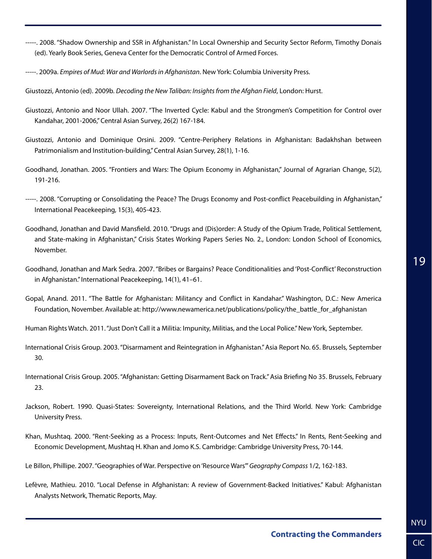- -----. 2008. "Shadow Ownership and SSR in Afghanistan." In Local Ownership and Security Sector Reform, Timothy Donais (ed). Yearly Book Series, Geneva Center for the Democratic Control of Armed Forces.
- -----. 2009a. *Empires of Mud: War and Warlords in Afghanistan*. New York: Columbia University Press.
- Giustozzi, Antonio (ed). 2009b. *Decoding the New Taliban: Insights from the Afghan Field*, London: Hurst.
- Giustozzi, Antonio and Noor Ullah. 2007. "The Inverted Cycle: Kabul and the Strongmen's Competition for Control over Kandahar, 2001-2006,"Central Asian Survey, 26(2) 167-184.
- Giustozzi, Antonio and Dominique Orsini. 2009. "Centre-Periphery Relations in Afghanistan: Badakhshan between Patrimonialism and Institution-building,"Central Asian Survey, 28(1), 1-16.
- Goodhand, Jonathan. 2005. "Frontiers and Wars: The Opium Economy in Afghanistan," Journal of Agrarian Change, 5(2), 191-216.
- -----. 2008. "Corrupting or Consolidating the Peace? The Drugs Economy and Post-conflict Peacebuilding in Afghanistan," International Peacekeeping, 15(3), 405-423.
- Goodhand, Jonathan and David Mansfield. 2010."Drugs and (Dis)order: A Study of the Opium Trade, Political Settlement, and State-making in Afghanistan," Crisis States Working Papers Series No. 2., London: London School of Economics, November.
- Goodhand, Jonathan and Mark Sedra. 2007."Bribes or Bargains? Peace Conditionalities and 'Post-Conflict' Reconstruction in Afghanistan."International Peacekeeping, 14(1), 41–61.
- Gopal, Anand. 2011. "The Battle for Afghanistan: Militancy and Conflict in Kandahar." Washington, D.C.: New America Foundation, November. Available at: [http://www.newamerica.net/publications/policy/the\\_battle\\_for\\_afghanistan](http://www.newamerica.net/publications/policy/the_battle_for_afghanistan)
- Human Rights Watch. 2011."Just Don't Call it a Militia: Impunity, Militias, and the Local Police."New York, September.
- International Crisis Group. 2003."Disarmament and Reintegration in Afghanistan."Asia Report No. 65. Brussels, September 30.
- International Crisis Group. 2005."Afghanistan: Getting Disarmament Back on Track."Asia Briefing No 35. Brussels, February 23.
- Jackson, Robert. 1990. Quasi-States: Sovereignty, International Relations, and the Third World. New York: Cambridge University Press.
- Khan, Mushtaq. 2000. "Rent-Seeking as a Process: Inputs, Rent-Outcomes and Net Effects." In Rents, Rent-Seeking and Economic Development, Mushtaq H. Khan and Jomo K.S. Cambridge: Cambridge University Press, 70-144.
- Le Billon, Phillipe. 2007."Geographies of War. Perspective on'Resource Wars'"*Geography Compass* 1/2, 162-183.
- Lefèvre, Mathieu. 2010. "Local Defense in Afghanistan: A review of Government-Backed Initiatives." Kabul: Afghanistan Analysts Network, Thematic Reports, May.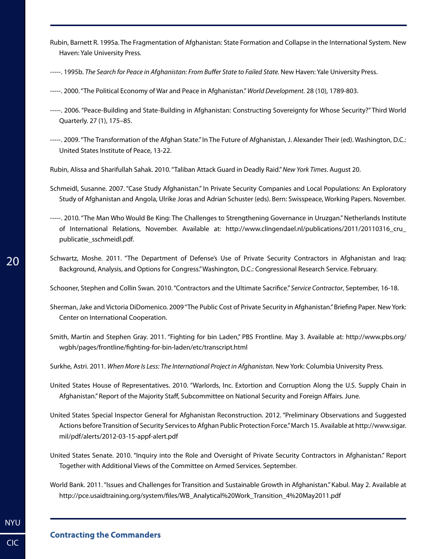- Rubin, Barnett R. 1995a. The Fragmentation of Afghanistan: State Formation and Collapse in the International System. New Haven: Yale University Press.
- -----. 1995b. *The Search for Peace in Afghanistan: From Buffer State to Failed State.* New Haven: Yale University Press.
- -----. 2000."The Political Economy of War and Peace in Afghanistan."*World Development.* 28 (10), 1789-803.
- -----. 2006. "Peace-Building and State-Building in Afghanistan: Constructing Sovereignty for Whose Security?" Third World Quarterly. 27 (1), 175–85.
- -----. 2009."The Transformation of the Afghan State."In The Future of Afghanistan, J. Alexander Their (ed). Washington, D.C.: United States Institute of Peace, 13-22.
- Rubin, Alissa and Sharifullah Sahak. 2010."Taliban Attack Guard in Deadly Raid."*New York Times*. August 20.
- Schmeidl, Susanne. 2007. "Case Study Afghanistan." In Private Security Companies and Local Populations: An Exploratory Study of Afghanistan and Angola, Ulrike Joras and Adrian Schuster (eds). Bern: Swisspeace, Working Papers. November.
- -----. 2010."The Man Who Would Be King: The Challenges to Strengthening Governance in Uruzgan."Netherlands Institute of International Relations, November. Available at: h[ttp://www.clingendael.nl/publications/2011/20110316\\_cru\\_](http://www.clingendael.nl/publications/2011/20110316_cru_publicatie_sschmeidl.pdf) [publicatie\\_sschmeidl.pdf.](http://www.clingendael.nl/publications/2011/20110316_cru_publicatie_sschmeidl.pdf)
- Schwartz, Moshe. 2011. "The Department of Defense's Use of Private Security Contractors in Afghanistan and Iraq: Background, Analysis, and Options for Congress."Washington, D.C.: Congressional Research Service. February.

Schooner, Stephen and Collin Swan. 2010."Contractors and the Ultimate Sacrifice." *Service Contractor*, September, 16-18.

- Sherman, Jake and Victoria DiDomenico. 2009"The Public Cost of Private Security in Afghanistan."Briefing Paper. New York: Center on International Cooperation.
- Smith, Martin and Stephen Gray. 2011. "Fighting for bin Laden," PBS Frontline. May 3. Available at: [http://www.pbs.org/](http://www.pbs.org/wgbh/pages/frontline/fighting-for-bin-laden/etc/transcript.html) [wgbh/pages/frontline/fighting-for-bin-laden/etc/transcript.html](http://www.pbs.org/wgbh/pages/frontline/fighting-for-bin-laden/etc/transcript.html)

Surkhe, Astri. 2011. *When More Is Less: The International Project in Afghanistan*. New York: Columbia University Press.

- United States House of Representatives. 2010. "Warlords, Inc. Extortion and Corruption Along the U.S. Supply Chain in Afghanistan."Report of the Majority Staff, Subcommittee on National Security and Foreign Affairs. June.
- United States Special Inspector General for Afghanistan Reconstruction. 2012. "Preliminary Observations and Suggested Actions before Transition of Security Servicesto Afghan Public Protection Force."March 15. Available at [http://www.sigar.](http://www.sigar.mil/pdf/alerts/2012-03-15-appf-alert.pdf) [mil/pdf/alerts/2012-03-15-appf-alert.pdf](http://www.sigar.mil/pdf/alerts/2012-03-15-appf-alert.pdf)
- United States Senate. 2010. "Inquiry into the Role and Oversight of Private Security Contractors in Afghanistan." Report Together with Additional Views of the Committee on Armed Services. September.
- World Bank. 2011."Issues and Challenges for Transition and Sustainable Growth in Afghanistan." Kabul. May 2. Available at [http://pce.usaidtraining.org/system/files/WB\\_Analytical%20Work\\_Transition\\_4%20May2011.pdf](http://pce.usaidtraining.org/system/files/WB_Analytical Work_Transition_4 May2011.pdf)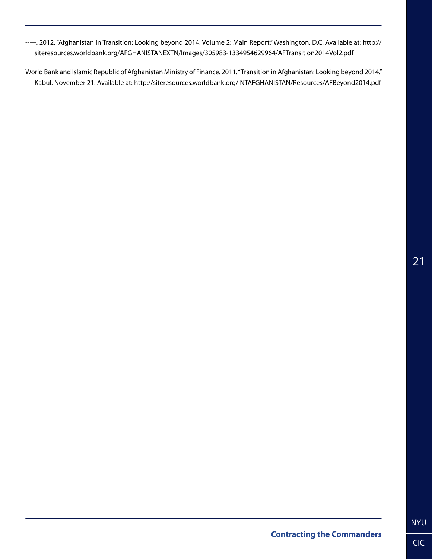-----. 2012."Afghanistan in Transition: Looking beyond 2014: Volume 2: Main Report."Washington, D.C. Available at: [http://](http://siteresources.worldbank.org/AFGHANISTANEXTN/Images/305983-1334954629964/AFTransition2014Vol2.pdf) [siteresources.worldbank.org/AFGHANISTANEXTN/Images/305983-1334954629964/AFTransition2014Vol2.pdf](http://siteresources.worldbank.org/AFGHANISTANEXTN/Images/305983-1334954629964/AFTransition2014Vol2.pdf)

World Bank and Islamic Republic of Afghanistan Ministry of Finance. 2011."Transition in Afghanistan: Looking beyond 2014." Kabul. November 21. Available at: <http://siteresources.worldbank.org/INTAFGHANISTAN/Resources/AFBeyond2014.pdf>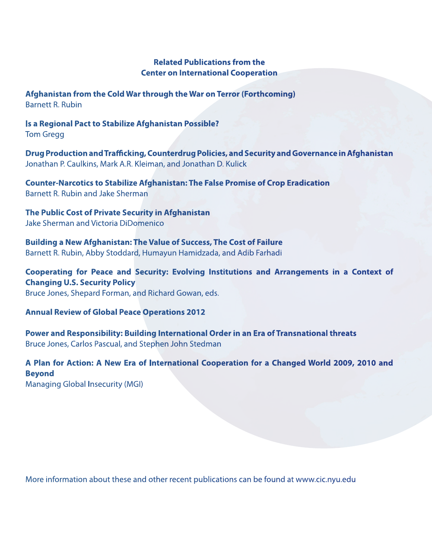#### **Related Publications from the Center on International Cooperation**

**Afghanistan from the Cold War through the War on Terror (Forthcoming)** Barnett R. Rubin

**Is a Regional Pact to Stabilize Afghanistan Possible?** Tom Gregg

**Drug Production and Trafficking, Counterdrug Policies, and Security and Governance in Afghanistan** Jonathan P. Caulkins, Mark A.R. Kleiman, and Jonathan D. Kulick

**Counter-Narcotics to Stabilize Afghanistan: The False Promise of Crop Eradication** Barnett R. Rubin and Jake Sherman

**The Public Cost of Private Security in Afghanistan** Jake Sherman and Victoria DiDomenico

**Building a New Afghanistan: The Value of Success, The Cost of Failure**  Barnett R. Rubin, Abby Stoddard, Humayun Hamidzada, and Adib Farhadi

**Cooperating for Peace and Security: Evolving Institutions and Arrangements in a Context of Changing U.S. Security Policy**

Bruce Jones, Shepard Forman, and Richard Gowan, eds.

#### **Annual Review of Global Peace Operations 2012**

**Power and Responsibility: Building International Order in an Era of Transnational threats** Bruce Jones, Carlos Pascual, and Stephen John Stedman

**A Plan for Action: A New Era of International Cooperation for a Changed World 2009, 2010 and Beyond**

Managing Global Insecurity (MGI)

More information about these and other recent publications can be found at www.cic.nyu.edu